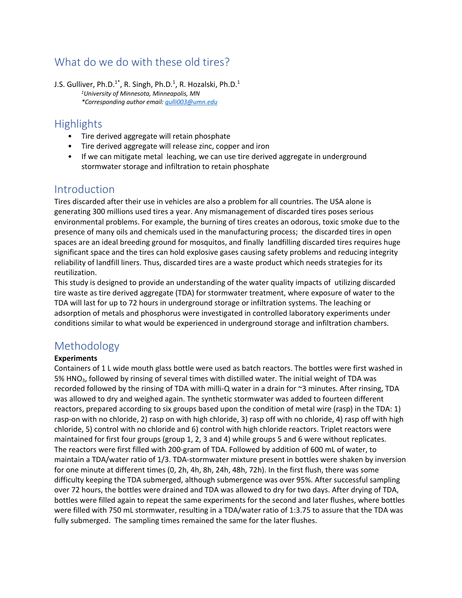# What do we do with these old tires?

J.S. Gulliver, Ph.D.<sup>1\*</sup>, R. Singh, Ph.D.<sup>1</sup>, R. Hozalski, Ph.D.<sup>1</sup> *1University of Minnesota, Minneapolis, MN \*Corresponding author email: gulli003@umn.edu*

# **Highlights**

- Tire derived aggregate will retain phosphate
- Tire derived aggregate will release zinc, copper and iron
- If we can mitigate metal leaching, we can use tire derived aggregate in underground stormwater storage and infiltration to retain phosphate

### Introduction

Tires discarded after their use in vehicles are also a problem for all countries. The USA alone is generating 300 millions used tires a year. Any mismanagement of discarded tires poses serious environmental problems. For example, the burning of tires creates an odorous, toxic smoke due to the presence of many oils and chemicals used in the manufacturing process; the discarded tires in open spaces are an ideal breeding ground for mosquitos, and finally landfilling discarded tires requires huge significant space and the tires can hold explosive gases causing safety problems and reducing integrity reliability of landfill liners. Thus, discarded tires are a waste product which needs strategies for its reutilization.

This study is designed to provide an understanding of the water quality impacts of utilizing discarded tire waste as tire derived aggregate (TDA) for stormwater treatment, where exposure of water to the TDA will last for up to 72 hours in underground storage or infiltration systems. The leaching or adsorption of metals and phosphorus were investigated in controlled laboratory experiments under conditions similar to what would be experienced in underground storage and infiltration chambers.

# Methodology

### **Experiments**

Containers of 1 L wide mouth glass bottle were used as batch reactors. The bottles were first washed in 5% HNO<sub>3</sub>, followed by rinsing of several times with distilled water. The initial weight of TDA was recorded followed by the rinsing of TDA with milli-Q water in a drain for ~3 minutes. After rinsing, TDA was allowed to dry and weighed again. The synthetic stormwater was added to fourteen different reactors, prepared according to six groups based upon the condition of metal wire (rasp) in the TDA: 1) rasp-on with no chloride, 2) rasp on with high chloride, 3) rasp off with no chloride, 4) rasp off with high chloride, 5) control with no chloride and 6) control with high chloride reactors. Triplet reactors were maintained for first four groups (group 1, 2, 3 and 4) while groups 5 and 6 were without replicates. The reactors were first filled with 200-gram of TDA. Followed by addition of 600 mL of water, to maintain a TDA/water ratio of 1/3. TDA-stormwater mixture present in bottles were shaken by inversion for one minute at different times (0, 2h, 4h, 8h, 24h, 48h, 72h). In the first flush, there was some difficulty keeping the TDA submerged, although submergence was over 95%. After successful sampling over 72 hours, the bottles were drained and TDA was allowed to dry for two days. After drying of TDA, bottles were filled again to repeat the same experiments for the second and later flushes, where bottles were filled with 750 mL stormwater, resulting in a TDA/water ratio of 1:3.75 to assure that the TDA was fully submerged. The sampling times remained the same for the later flushes.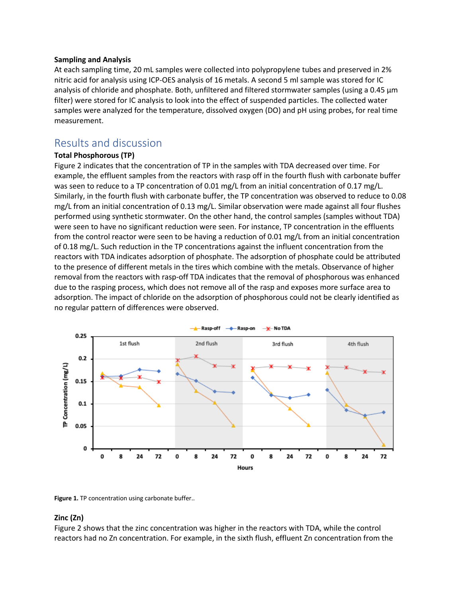#### **Sampling and Analysis**

At each sampling time, 20 mL samples were collected into polypropylene tubes and preserved in 2% nitric acid for analysis using ICP-OES analysis of 16 metals. A second 5 ml sample was stored for IC analysis of chloride and phosphate. Both, unfiltered and filtered stormwater samples (using a 0.45  $\mu$ m filter) were stored for IC analysis to look into the effect of suspended particles. The collected water samples were analyzed for the temperature, dissolved oxygen (DO) and pH using probes, for real time measurement.

## Results and discussion

### **Total Phosphorous (TP)**

Figure 2 indicates that the concentration of TP in the samples with TDA decreased over time. For example, the effluent samples from the reactors with rasp off in the fourth flush with carbonate buffer was seen to reduce to a TP concentration of 0.01 mg/L from an initial concentration of 0.17 mg/L. Similarly, in the fourth flush with carbonate buffer, the TP concentration was observed to reduce to 0.08 mg/L from an initial concentration of 0.13 mg/L. Similar observation were made against all four flushes performed using synthetic stormwater. On the other hand, the control samples (samples without TDA) were seen to have no significant reduction were seen. For instance, TP concentration in the effluents from the control reactor were seen to be having a reduction of 0.01 mg/L from an initial concentration of 0.18 mg/L. Such reduction in the TP concentrations against the influent concentration from the reactors with TDA indicates adsorption of phosphate. The adsorption of phosphate could be attributed to the presence of different metals in the tires which combine with the metals. Observance of higher removal from the reactors with rasp-off TDA indicates that the removal of phosphorous was enhanced due to the rasping process, which does not remove all of the rasp and exposes more surface area to adsorption. The impact of chloride on the adsorption of phosphorous could not be clearly identified as no regular pattern of differences were observed.



Figure 1. TP concentration using carbonate buffer..

#### **Zinc (Zn)**

Figure 2 shows that the zinc concentration was higher in the reactors with TDA, while the control reactors had no Zn concentration. For example, in the sixth flush, effluent Zn concentration from the